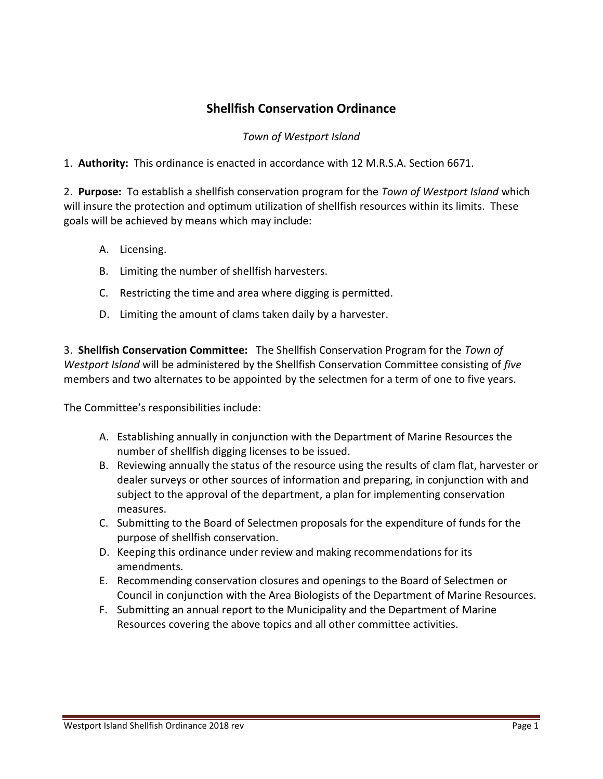### **Shellfish Conservation Ordinance**

#### *Town of Westport Island*

1. **Authority:** This ordinance is enacted in accordance with 12 M.R.S.A. Section 6671.

2. **Purpose:** To establish a shellfish conservation program for the *Town of Westport Island* which will insure the protection and optimum utilization of shellfish resources within its limits. These goals will be achieved by means which may include:

- A. Licensing.
- B. Limiting the number of shellfish harvesters.
- C. Restricting the time and area where digging is permitted.
- D. Limiting the amount of clams taken daily by a harvester.

3. **Shellfish Conservation Committee:** The Shellfish Conservation Program for the *Town of Westport Island* will be administered by the Shellfish Conservation Committee consisting of *five* members and two alternates to be appointed by the selectmen for a term of one to five years.

The Committee's responsibilities include:

- A. Establishing annually in conjunction with the Department of Marine Resources the number of shellfish digging licenses to be issued.
- B. Reviewing annually the status of the resource using the results of clam flat, harvester or dealer surveys or other sources of information and preparing, in conjunction with and subject to the approval of the department, a plan for implementing conservation measures.
- C. Submitting to the Board of Selectmen proposals for the expenditure of funds for the purpose of shellfish conservation.
- D. Keeping this ordinance under review and making recommendations for its amendments.
- E. Recommending conservation closures and openings to the Board of Selectmen or Council in conjunction with the Area Biologists of the Department of Marine Resources.
- F. Submitting an annual report to the Municipality and the Department of Marine Resources covering the above topics and all other committee activities.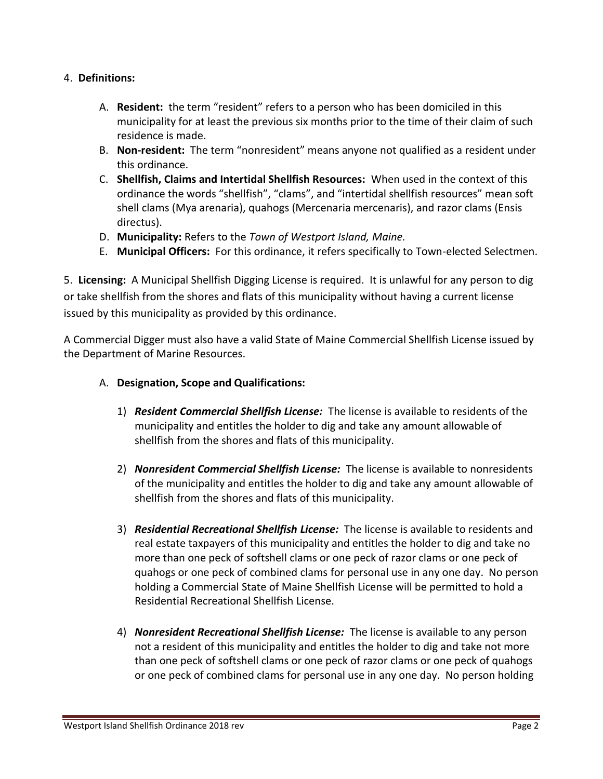#### 4. **Definitions:**

- A. **Resident:** the term "resident" refers to a person who has been domiciled in this municipality for at least the previous six months prior to the time of their claim of such residence is made.
- B. **Non-resident:** The term "nonresident" means anyone not qualified as a resident under this ordinance.
- C. **Shellfish, Claims and Intertidal Shellfish Resources:** When used in the context of this ordinance the words "shellfish", "clams", and "intertidal shellfish resources" mean soft shell clams (Mya arenaria), quahogs (Mercenaria mercenaris), and razor clams (Ensis directus).
- D. **Municipality:** Refers to the *Town of Westport Island, Maine.*
- E. **Municipal Officers:** For this ordinance, it refers specifically to Town-elected Selectmen.

5. **Licensing:** A Municipal Shellfish Digging License is required. It is unlawful for any person to dig or take shellfish from the shores and flats of this municipality without having a current license issued by this municipality as provided by this ordinance.

A Commercial Digger must also have a valid State of Maine Commercial Shellfish License issued by the Department of Marine Resources.

- A. **Designation, Scope and Qualifications:**
	- 1) *Resident Commercial Shellfish License:* The license is available to residents of the municipality and entitles the holder to dig and take any amount allowable of shellfish from the shores and flats of this municipality.
	- 2) *Nonresident Commercial Shellfish License:* The license is available to nonresidents of the municipality and entitles the holder to dig and take any amount allowable of shellfish from the shores and flats of this municipality.
	- 3) *Residential Recreational Shellfish License:* The license is available to residents and real estate taxpayers of this municipality and entitles the holder to dig and take no more than one peck of softshell clams or one peck of razor clams or one peck of quahogs or one peck of combined clams for personal use in any one day. No person holding a Commercial State of Maine Shellfish License will be permitted to hold a Residential Recreational Shellfish License.
	- 4) *Nonresident Recreational Shellfish License:* The license is available to any person not a resident of this municipality and entitles the holder to dig and take not more than one peck of softshell clams or one peck of razor clams or one peck of quahogs or one peck of combined clams for personal use in any one day. No person holding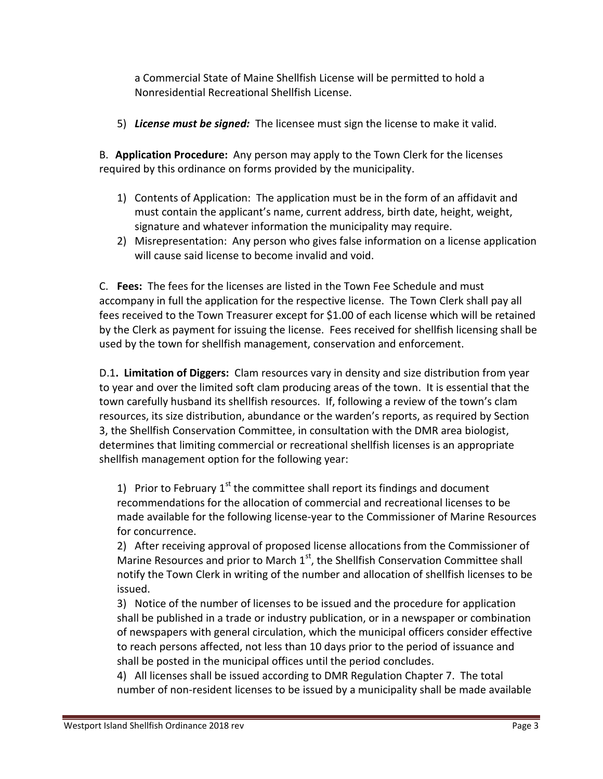a Commercial State of Maine Shellfish License will be permitted to hold a Nonresidential Recreational Shellfish License.

5) *License must be signed:* The licensee must sign the license to make it valid.

B. **Application Procedure:** Any person may apply to the Town Clerk for the licenses required by this ordinance on forms provided by the municipality.

- 1) Contents of Application: The application must be in the form of an affidavit and must contain the applicant's name, current address, birth date, height, weight, signature and whatever information the municipality may require.
- 2) Misrepresentation: Any person who gives false information on a license application will cause said license to become invalid and void.

C. **Fees:** The fees for the licenses are listed in the Town Fee Schedule and must accompany in full the application for the respective license. The Town Clerk shall pay all fees received to the Town Treasurer except for \$1.00 of each license which will be retained by the Clerk as payment for issuing the license. Fees received for shellfish licensing shall be used by the town for shellfish management, conservation and enforcement.

D.1**. Limitation of Diggers:** Clam resources vary in density and size distribution from year to year and over the limited soft clam producing areas of the town. It is essential that the town carefully husband its shellfish resources. If, following a review of the town's clam resources, its size distribution, abundance or the warden's reports, as required by Section 3, the Shellfish Conservation Committee, in consultation with the DMR area biologist, determines that limiting commercial or recreational shellfish licenses is an appropriate shellfish management option for the following year:

1) Prior to February  $1^{st}$  the committee shall report its findings and document recommendations for the allocation of commercial and recreational licenses to be made available for the following license-year to the Commissioner of Marine Resources for concurrence.

2) After receiving approval of proposed license allocations from the Commissioner of Marine Resources and prior to March  $1<sup>st</sup>$ , the Shellfish Conservation Committee shall notify the Town Clerk in writing of the number and allocation of shellfish licenses to be issued.

3) Notice of the number of licenses to be issued and the procedure for application shall be published in a trade or industry publication, or in a newspaper or combination of newspapers with general circulation, which the municipal officers consider effective to reach persons affected, not less than 10 days prior to the period of issuance and shall be posted in the municipal offices until the period concludes.

4) All licenses shall be issued according to DMR Regulation Chapter 7. The total number of non-resident licenses to be issued by a municipality shall be made available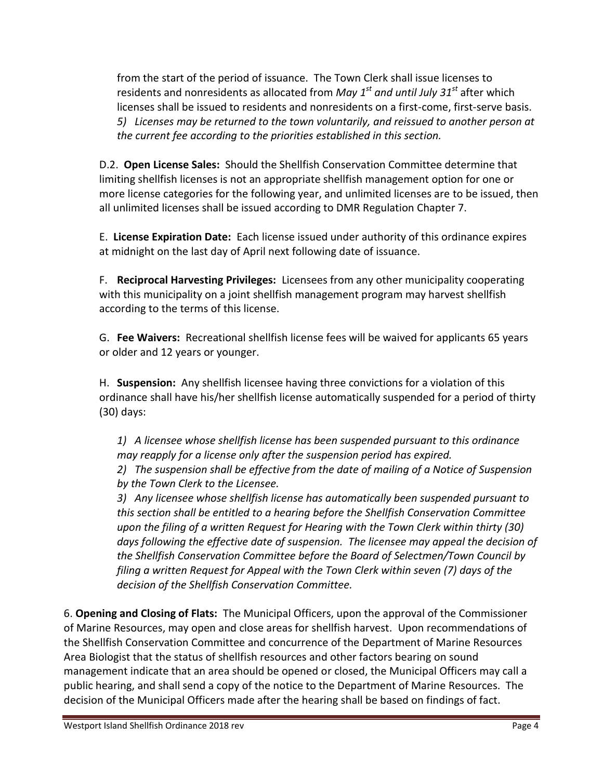from the start of the period of issuance. The Town Clerk shall issue licenses to residents and nonresidents as allocated from *May 1st and until July 31st* after which licenses shall be issued to residents and nonresidents on a first-come, first-serve basis. *5) Licenses may be returned to the town voluntarily, and reissued to another person at the current fee according to the priorities established in this section.*

D.2. **Open License Sales:** Should the Shellfish Conservation Committee determine that limiting shellfish licenses is not an appropriate shellfish management option for one or more license categories for the following year, and unlimited licenses are to be issued, then all unlimited licenses shall be issued according to DMR Regulation Chapter 7.

E. **License Expiration Date:** Each license issued under authority of this ordinance expires at midnight on the last day of April next following date of issuance.

F. **Reciprocal Harvesting Privileges:** Licensees from any other municipality cooperating with this municipality on a joint shellfish management program may harvest shellfish according to the terms of this license.

G. **Fee Waivers:** Recreational shellfish license fees will be waived for applicants 65 years or older and 12 years or younger.

H. **Suspension:** Any shellfish licensee having three convictions for a violation of this ordinance shall have his/her shellfish license automatically suspended for a period of thirty (30) days:

*1) A licensee whose shellfish license has been suspended pursuant to this ordinance may reapply for a license only after the suspension period has expired.*

*2) The suspension shall be effective from the date of mailing of a Notice of Suspension by the Town Clerk to the Licensee.*

*3) Any licensee whose shellfish license has automatically been suspended pursuant to this section shall be entitled to a hearing before the Shellfish Conservation Committee upon the filing of a written Request for Hearing with the Town Clerk within thirty (30) days following the effective date of suspension. The licensee may appeal the decision of the Shellfish Conservation Committee before the Board of Selectmen/Town Council by filing a written Request for Appeal with the Town Clerk within seven (7) days of the decision of the Shellfish Conservation Committee.*

6. **Opening and Closing of Flats:** The Municipal Officers, upon the approval of the Commissioner of Marine Resources, may open and close areas for shellfish harvest. Upon recommendations of the Shellfish Conservation Committee and concurrence of the Department of Marine Resources Area Biologist that the status of shellfish resources and other factors bearing on sound management indicate that an area should be opened or closed, the Municipal Officers may call a public hearing, and shall send a copy of the notice to the Department of Marine Resources. The decision of the Municipal Officers made after the hearing shall be based on findings of fact.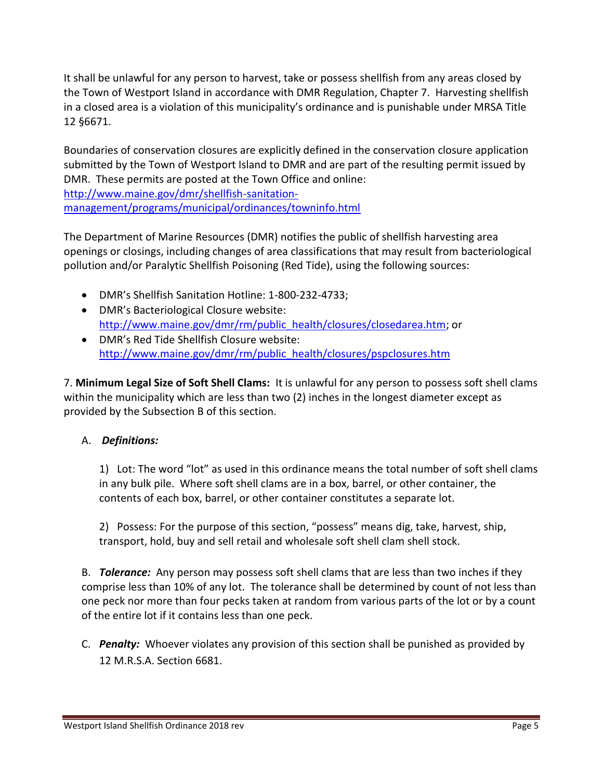It shall be unlawful for any person to harvest, take or possess shellfish from any areas closed by the Town of Westport Island in accordance with DMR Regulation, Chapter 7. Harvesting shellfish in a closed area is a violation of this municipality's ordinance and is punishable under MRSA Title 12 §6671.

Boundaries of conservation closures are explicitly defined in the conservation closure application submitted by the Town of Westport Island to DMR and are part of the resulting permit issued by DMR. These permits are posted at the Town Office and online: [http://www.maine.gov/dmr/shellfish-sanitation-](http://www.maine.gov/dmr/shellfish-sanitation-management/programs/municipal/ordinances/towninfo.html)

[management/programs/municipal/ordinances/towninfo.html](http://www.maine.gov/dmr/shellfish-sanitation-management/programs/municipal/ordinances/towninfo.html)

The Department of Marine Resources (DMR) notifies the public of shellfish harvesting area openings or closings, including changes of area classifications that may result from bacteriological pollution and/or Paralytic Shellfish Poisoning (Red Tide), using the following sources:

- DMR's Shellfish Sanitation Hotline: 1-800-232-4733;
- DMR's Bacteriological Closure website: [http://www.maine.gov/dmr/rm/public\\_health/closures/closedarea.htm;](http://www.maine.gov/dmr/rm/public_health/closures/closedarea.htm) or
- DMR's Red Tide Shellfish Closure website: [http://www.maine.gov/dmr/rm/public\\_health/closures/pspclosures.htm](http://www.maine.gov/dmr/rm/public_health/closures/pspclosures.htm)

7. **Minimum Legal Size of Soft Shell Clams:** It is unlawful for any person to possess soft shell clams within the municipality which are less than two (2) inches in the longest diameter except as provided by the Subsection B of this section.

#### A. *Definitions:*

1) Lot: The word "lot" as used in this ordinance means the total number of soft shell clams in any bulk pile. Where soft shell clams are in a box, barrel, or other container, the contents of each box, barrel, or other container constitutes a separate lot.

2) Possess: For the purpose of this section, "possess" means dig, take, harvest, ship, transport, hold, buy and sell retail and wholesale soft shell clam shell stock.

B. *Tolerance:* Any person may possess soft shell clams that are less than two inches if they comprise less than 10% of any lot. The tolerance shall be determined by count of not less than one peck nor more than four pecks taken at random from various parts of the lot or by a count of the entire lot if it contains less than one peck.

C. *Penalty:* Whoever violates any provision of this section shall be punished as provided by 12 M.R.S.A. Section 6681.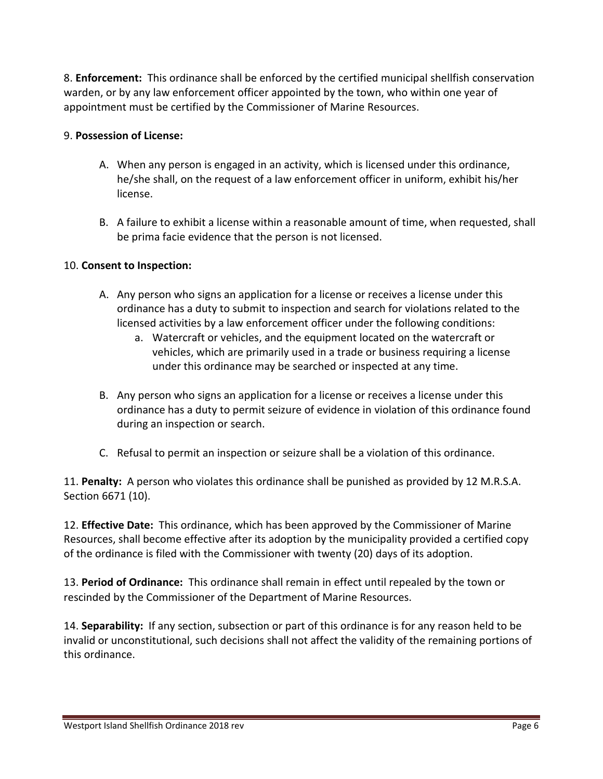8. **Enforcement:** This ordinance shall be enforced by the certified municipal shellfish conservation warden, or by any law enforcement officer appointed by the town, who within one year of appointment must be certified by the Commissioner of Marine Resources.

#### 9. **Possession of License:**

- A. When any person is engaged in an activity, which is licensed under this ordinance, he/she shall, on the request of a law enforcement officer in uniform, exhibit his/her license.
- B. A failure to exhibit a license within a reasonable amount of time, when requested, shall be prima facie evidence that the person is not licensed.

#### 10. **Consent to Inspection:**

- A. Any person who signs an application for a license or receives a license under this ordinance has a duty to submit to inspection and search for violations related to the licensed activities by a law enforcement officer under the following conditions:
	- a. Watercraft or vehicles, and the equipment located on the watercraft or vehicles, which are primarily used in a trade or business requiring a license under this ordinance may be searched or inspected at any time.
- B. Any person who signs an application for a license or receives a license under this ordinance has a duty to permit seizure of evidence in violation of this ordinance found during an inspection or search.
- C. Refusal to permit an inspection or seizure shall be a violation of this ordinance.

11. **Penalty:** A person who violates this ordinance shall be punished as provided by 12 M.R.S.A. Section 6671 (10).

12. **Effective Date:** This ordinance, which has been approved by the Commissioner of Marine Resources, shall become effective after its adoption by the municipality provided a certified copy of the ordinance is filed with the Commissioner with twenty (20) days of its adoption.

13. **Period of Ordinance:** This ordinance shall remain in effect until repealed by the town or rescinded by the Commissioner of the Department of Marine Resources.

14. **Separability:** If any section, subsection or part of this ordinance is for any reason held to be invalid or unconstitutional, such decisions shall not affect the validity of the remaining portions of this ordinance.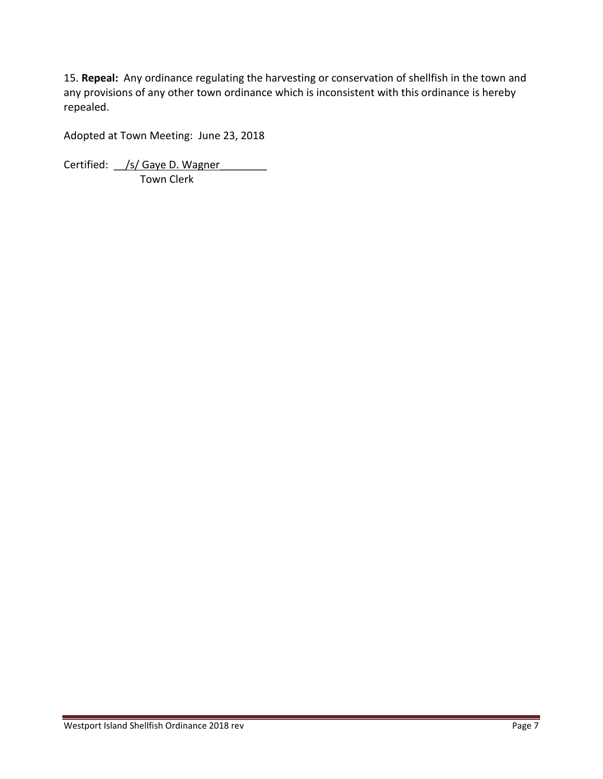15. **Repeal:** Any ordinance regulating the harvesting or conservation of shellfish in the town and any provisions of any other town ordinance which is inconsistent with this ordinance is hereby repealed.

Adopted at Town Meeting: June 23, 2018

Certified: /s/ Gaye D. Wagner Town Clerk